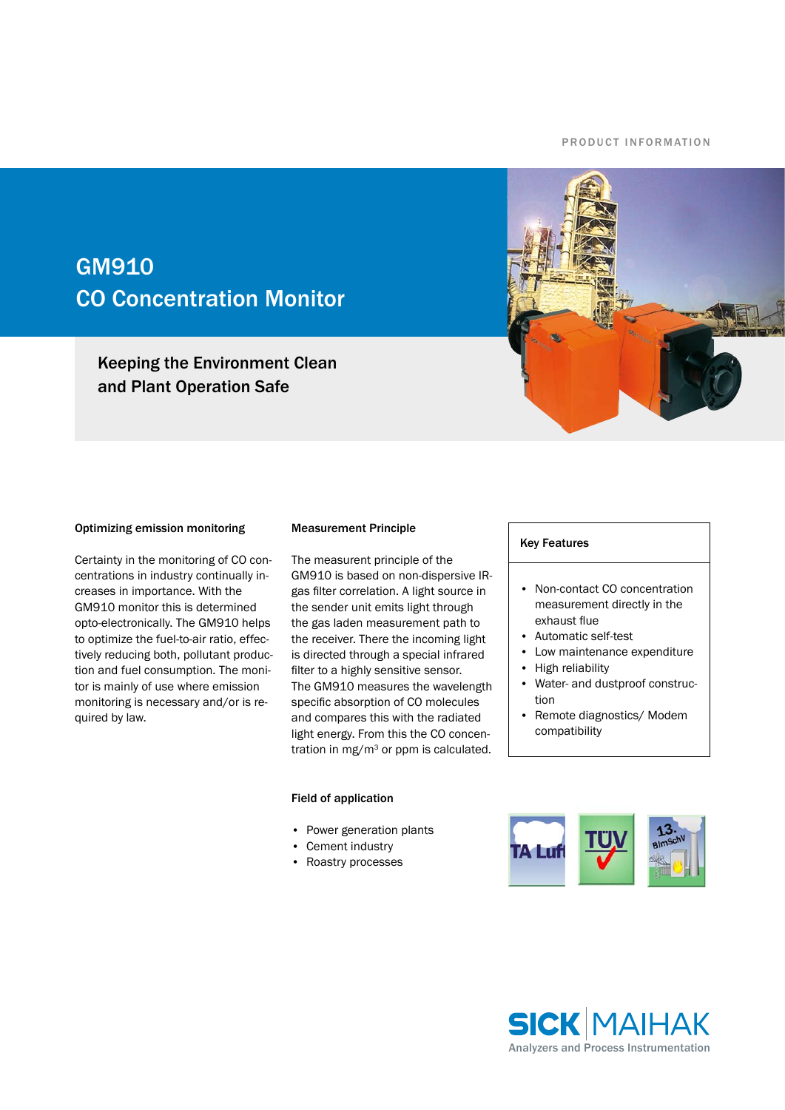### P R O D U C T IN FORMATION

# GM910 CO Concentration Monitor

Keeping the Environment Clean and Plant Operation Safe



## Optimizing emission monitoring

Certainty in the monitoring of CO concentrations in industry continually increases in importance. With the GM910 monitor this is determined opto-electronically. The GM910 helps to optimize the fuel-to-air ratio, effectively reducing both, pollutant production and fuel consumption. The monitor is mainly of use where emission monitoring is necessary and/or is required by law.

#### Measurement Principle

The measurent principle of the GM910 is based on non-dispersive IRgas filter correlation. A light source in the sender unit emits light through the gas laden measurement path to the receiver. There the incoming light is directed through a special infrared filter to a highly sensitive sensor. The GM910 measures the wavelength specific absorption of CO molecules and compares this with the radiated light energy. From this the CO concentration in mg/m<sup>3</sup> or ppm is calculated.

#### Field of application

- Power generation plants
- Cement industry
- Roastry processes •

## Key Features

- Non-contact CO concentration measurement directly in the exhaust flue
- Automatic self-test •
- Low maintenance expenditure •
- High reliability •
- Water- and dustproof construction •
- Remote diagnostics/ Modem compatibility •